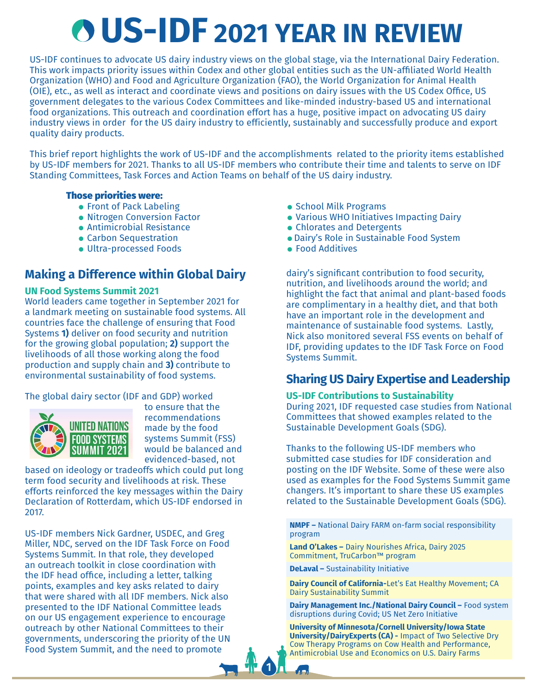# **US-IDF 2021 YEAR IN REVIEW**

US-IDF continues to advocate US dairy industry views on the global stage, via the International Dairy Federation. This work impacts priority issues within Codex and other global entities such as the UN-affiliated World Health Organization (WHO) and Food and Agriculture Organization (FAO), the World Organization for Animal Health (OIE), etc., as well as interact and coordinate views and positions on dairy issues with the US Codex Office, US government delegates to the various Codex Committees and like-minded industry-based US and international food organizations. This outreach and coordination effort has a huge, positive impact on advocating US dairy industry views in order for the US dairy industry to efficiently, sustainably and successfully produce and export quality dairy products.

This brief report highlights the work of US-IDF and the accomplishments related to the priority items established by US-IDF members for 2021. Thanks to all US-IDF members who contribute their time and talents to serve on IDF Standing Committees, Task Forces and Action Teams on behalf of the US dairy industry.

#### Those priorities were:

- **Front of Pack Labeling**
- Nitrogen Conversion Factor
- Antimicrobial Resistance
- **Carbon Sequestration**
- Ultra-processed Foods

# **Making a Difference within Global Dairy**

## **UN Food Systems Summit 2021**

World leaders came together in September 2021 for a landmark meeting on sustainable food systems. All countries face the challenge of ensuring that Food Systems **1)** deliver on food security and nutrition for the growing global population; **2)** support the livelihoods of all those working along the food production and supply chain and **3)** contribute to environmental sustainability of food systems.

## The global dairy sector (IDF and GDP) worked



to ensure that the recommendations made by the food systems Summit (FSS) would be balanced and evidenced-based, not

based on ideology or tradeoffs which could put long term food security and livelihoods at risk. These efforts reinforced the key messages within the Dairy Declaration of Rotterdam, which US-IDF endorsed in 2017.

US-IDF members Nick Gardner, USDEC, and Greg Miller, NDC, served on the IDF Task Force on Food Systems Summit. In that role, they developed an outreach toolkit in close coordination with the IDF head office, including a letter, talking points, examples and key asks related to dairy that were shared with all IDF members. Nick also presented to the IDF National Committee leads on our US engagement experience to encourage outreach by other National Committees to their governments, underscoring the priority of the UN Food System Summit, and the need to promote

- School Milk Programs
- Various WHO Initiatives Impacting Dairy
- Chlorates and Detergents
- Dairy's Role in Sustainable Food System
- Food Additives

dairy's significant contribution to food security, nutrition, and livelihoods around the world; and highlight the fact that animal and plant-based foods are complimentary in a healthy diet, and that both have an important role in the development and maintenance of sustainable food systems. Lastly, Nick also monitored several FSS events on behalf of IDF, providing updates to the IDF Task Force on Food Systems Summit.

# **Sharing US Dairy Expertise and Leadership**

## **US-IDF Contributions to Sustainability**

During 2021, IDF requested case studies from National Committees that showed examples related to the Sustainable Development Goals (SDG).

Thanks to the following US-IDF members who submitted case studies for IDF consideration and posting on the IDF Website. Some of these were also used as examples for the Food Systems Summit game changers. It's important to share these US examples related to the Sustainable Development Goals (SDG).

**NMPF –** National Dairy FARM on-farm social responsibility program

**Land O'Lakes –** Dairy Nourishes Africa, Dairy 2025 Commitment, TruCarbon™ program

**DeLaval –** Sustainability Initiative

**1**

 $\mathbf{A}$ 

**Dairy Council of California-**Let's Eat Healthy Movement; CA Dairy Sustainability Summit

**Dairy Management Inc./National Dairy Council –** Food system disruptions during Covid; US Net Zero Initiative

**University of Minnesota/Cornell University/Iowa State University/DairyExperts (CA) -** Impact of Two Selective Dry Cow Therapy Programs on Cow Health and Performance, Antimicrobial Use and Economics on U.S. Dairy Farms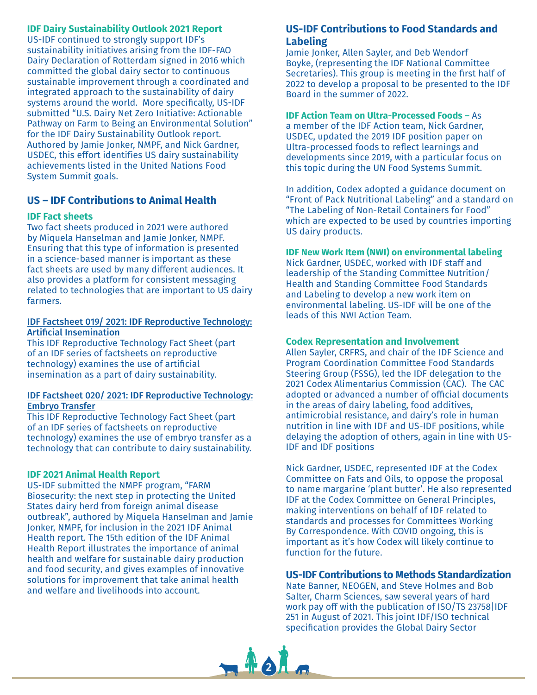## **IDF Dairy Sustainability Outlook 2021 Report**

US-IDF continued to strongly support IDF's sustainability initiatives arising from the IDF-FAO Dairy Declaration of Rotterdam signed in 2016 which committed the global dairy sector to continuous sustainable improvement through a coordinated and integrated approach to the sustainability of dairy systems around the world. More specifically, US-IDF submitted "U.S. Dairy Net Zero Initiative: Actionable Pathway on Farm to Being an Environmental Solution" for the IDF Dairy Sustainability Outlook report. Authored by Jamie Jonker, NMPF, and Nick Gardner, USDEC, this effort identifies US dairy sustainability achievements listed in the United Nations Food System Summit goals.

## **US – IDF Contributions to Animal Health**

#### **IDF Fact sheets**

Two fact sheets produced in 2021 were authored by Miquela Hanselman and Jamie Jonker, NMPF. Ensuring that this type of information is presented in a science-based manner is important as these fact sheets are used by many different audiences. It also provides a platform for consistent messaging related to technologies that are important to US dairy farmers.

#### IDF Factsheet 019/ 2021: IDF Reproductive Technology: Artificial Insemination

This IDF Reproductive Technology Fact Sheet (part of an IDF series of factsheets on reproductive technology) examines the use of artificial insemination as a part of dairy sustainability.

#### IDF Factsheet 020/ 2021: IDF Reproductive Technology: Embryo Transfer

This IDF Reproductive Technology Fact Sheet (part of an IDF series of factsheets on reproductive technology) examines the use of embryo transfer as a technology that can contribute to dairy sustainability.

#### **IDF 2021 Animal Health Report**

US-IDF submitted the NMPF program, "FARM Biosecurity: the next step in protecting the United States dairy herd from foreign animal disease outbreak", authored by Miquela Hanselman and Jamie Jonker, NMPF, for inclusion in the 2021 IDF Animal Health report. The 15th edition of the IDF Animal Health Report illustrates the importance of animal health and welfare for sustainable dairy production and food security, and gives examples of innovative solutions for improvement that take animal health and welfare and livelihoods into account.

## **US-IDF Contributions to Food Standards and Labeling**

Jamie Jonker, Allen Sayler, and Deb Wendorf Boyke, (representing the IDF National Committee Secretaries). This group is meeting in the first half of 2022 to develop a proposal to be presented to the IDF Board in the summer of 2022.

#### **IDF Action Team on Ultra-Processed Foods –** As

a member of the IDF Action team, Nick Gardner, USDEC, updated the 2019 IDF position paper on Ultra-processed foods to reflect learnings and developments since 2019, with a particular focus on this topic during the UN Food Systems Summit.

In addition, Codex adopted a guidance document on "Front of Pack Nutritional Labeling" and a standard on "The Labeling of Non-Retail Containers for Food" which are expected to be used by countries importing US dairy products.

#### **IDF New Work Item (NWI) on environmental labeling**

Nick Gardner, USDEC, worked with IDF staff and leadership of the Standing Committee Nutrition/ Health and Standing Committee Food Standards and Labeling to develop a new work item on environmental labeling. US-IDF will be one of the leads of this NWI Action Team.

#### **Codex Representation and Involvement**

Allen Sayler, CRFRS, and chair of the IDF Science and Program Coordination Committee Food Standards Steering Group (FSSG), led the IDF delegation to the 2021 Codex Alimentarius Commission (CAC). The CAC adopted or advanced a number of official documents in the areas of dairy labeling, food additives, antimicrobial resistance, and dairy's role in human nutrition in line with IDF and US-IDF positions, while delaying the adoption of others, again in line with US-IDF and IDF positions

Nick Gardner, USDEC, represented IDF at the Codex Committee on Fats and Oils, to oppose the proposal to name margarine 'plant butter'. He also represented IDF at the Codex Committee on General Principles, making interventions on behalf of IDF related to standards and processes for Committees Working By Correspondence. With COVID ongoing, this is important as it's how Codex will likely continue to function for the future.

## **US-IDF Contributions to Methods Standardization**

Nate Banner, NEOGEN, and Steve Holmes and Bob Salter, Charm Sciences, saw several years of hard work pay off with the publication of ISO/TS 23758|IDF 251 in August of 2021. This joint IDF/ISO technical specification provides the Global Dairy Sector